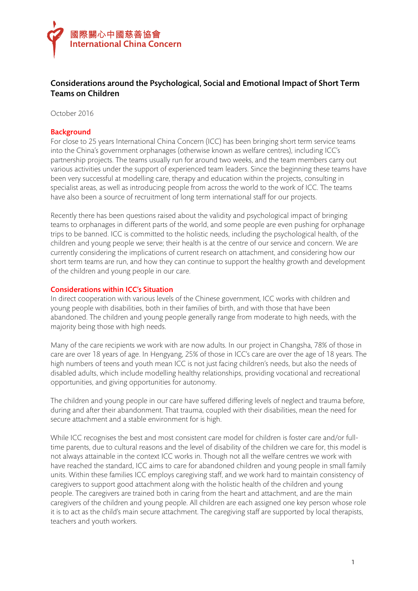

# Considerations around the Psychological, Social and Emotional Impact of Short Term Teams on Children

October 2016

## **Background**

For close to 25 years International China Concern (ICC) has been bringing short term service teams into the China's government orphanages (otherwise known as welfare centres), including ICC's partnership projects. The teams usually run for around two weeks, and the team members carry out various activities under the support of experienced team leaders. Since the beginning these teams have been very successful at modelling care, therapy and education within the projects, consulting in specialist areas, as well as introducing people from across the world to the work of ICC. The teams have also been a source of recruitment of long term international staff for our projects.

Recently there has been questions raised about the validity and psychological impact of bringing teams to orphanages in different parts of the world, and some people are even pushing for orphanage trips to be banned. ICC is committed to the holistic needs, including the psychological health, of the children and young people we serve; their health is at the centre of our service and concern. We are currently considering the implications of current research on attachment, and considering how our short term teams are run, and how they can continue to support the healthy growth and development of the children and young people in our care.

# Considerations within ICC's Situation

In direct cooperation with various levels of the Chinese government, ICC works with children and young people with disabilities, both in their families of birth, and with those that have been abandoned. The children and young people generally range from moderate to high needs, with the majority being those with high needs.

Many of the care recipients we work with are now adults. In our project in Changsha, 78% of those in care are over 18 years of age. In Hengyang, 25% of those in ICC's care are over the age of 18 years. The high numbers of teens and youth mean ICC is not just facing children's needs, but also the needs of disabled adults, which include modelling healthy relationships, providing vocational and recreational opportunities, and giving opportunities for autonomy.

The children and young people in our care have suffered differing levels of neglect and trauma before, during and after their abandonment. That trauma, coupled with their disabilities, mean the need for secure attachment and a stable environment for is high.

While ICC recognises the best and most consistent care model for children is foster care and/or fulltime parents, due to cultural reasons and the level of disability of the children we care for, this model is not always attainable in the context ICC works in. Though not all the welfare centres we work with have reached the standard, ICC aims to care for abandoned children and young people in small family units. Within these families ICC employs caregiving staff, and we work hard to maintain consistency of caregivers to support good attachment along with the holistic health of the children and young people. The caregivers are trained both in caring from the heart and attachment, and are the main caregivers of the children and young people. All children are each assigned one key person whose role it is to act as the child's main secure attachment. The caregiving staff are supported by local therapists, teachers and youth workers.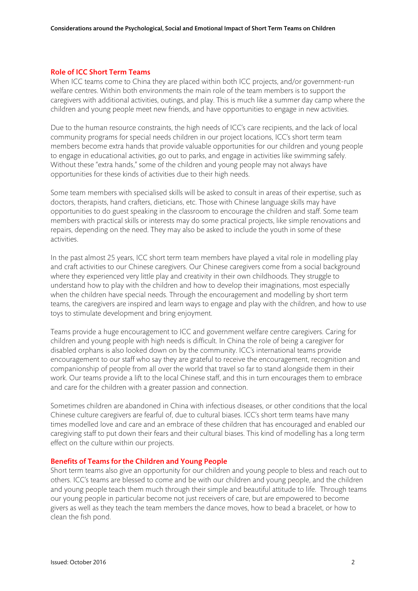## Role of ICC Short Term Teams

When ICC teams come to China they are placed within both ICC projects, and/or government-run welfare centres. Within both environments the main role of the team members is to support the caregivers with additional activities, outings, and play. This is much like a summer day camp where the children and young people meet new friends, and have opportunities to engage in new activities.

Due to the human resource constraints, the high needs of ICC's care recipients, and the lack of local community programs for special needs children in our project locations, ICC's short term team members become extra hands that provide valuable opportunities for our children and young people to engage in educational activities, go out to parks, and engage in activities like swimming safely. Without these "extra hands," some of the children and young people may not always have opportunities for these kinds of activities due to their high needs.

Some team members with specialised skills will be asked to consult in areas of their expertise, such as doctors, therapists, hand crafters, dieticians, etc. Those with Chinese language skills may have opportunities to do guest speaking in the classroom to encourage the children and staff. Some team members with practical skills or interests may do some practical projects, like simple renovations and repairs, depending on the need. They may also be asked to include the youth in some of these activities.

In the past almost 25 years, ICC short term team members have played a vital role in modelling play and craft activities to our Chinese caregivers. Our Chinese caregivers come from a social background where they experienced very little play and creativity in their own childhoods. They struggle to understand how to play with the children and how to develop their imaginations, most especially when the children have special needs. Through the encouragement and modelling by short term teams, the caregivers are inspired and learn ways to engage and play with the children, and how to use toys to stimulate development and bring enjoyment.

Teams provide a huge encouragement to ICC and government welfare centre caregivers. Caring for children and young people with high needs is difficult. In China the role of being a caregiver for disabled orphans is also looked down on by the community. ICC's international teams provide encouragement to our staff who say they are grateful to receive the encouragement, recognition and companionship of people from all over the world that travel so far to stand alongside them in their work. Our teams provide a lift to the local Chinese staff, and this in turn encourages them to embrace and care for the children with a greater passion and connection.

Sometimes children are abandoned in China with infectious diseases, or other conditions that the local Chinese culture caregivers are fearful of, due to cultural biases. ICC's short term teams have many times modelled love and care and an embrace of these children that has encouraged and enabled our caregiving staff to put down their fears and their cultural biases. This kind of modelling has a long term effect on the culture within our projects.

#### Benefits of Teams for the Children and Young People

Short term teams also give an opportunity for our children and young people to bless and reach out to others. ICC's teams are blessed to come and be with our children and young people, and the children and young people teach them much through their simple and beautiful attitude to life. Through teams our young people in particular become not just receivers of care, but are empowered to become givers as well as they teach the team members the dance moves, how to bead a bracelet, or how to clean the fish pond.